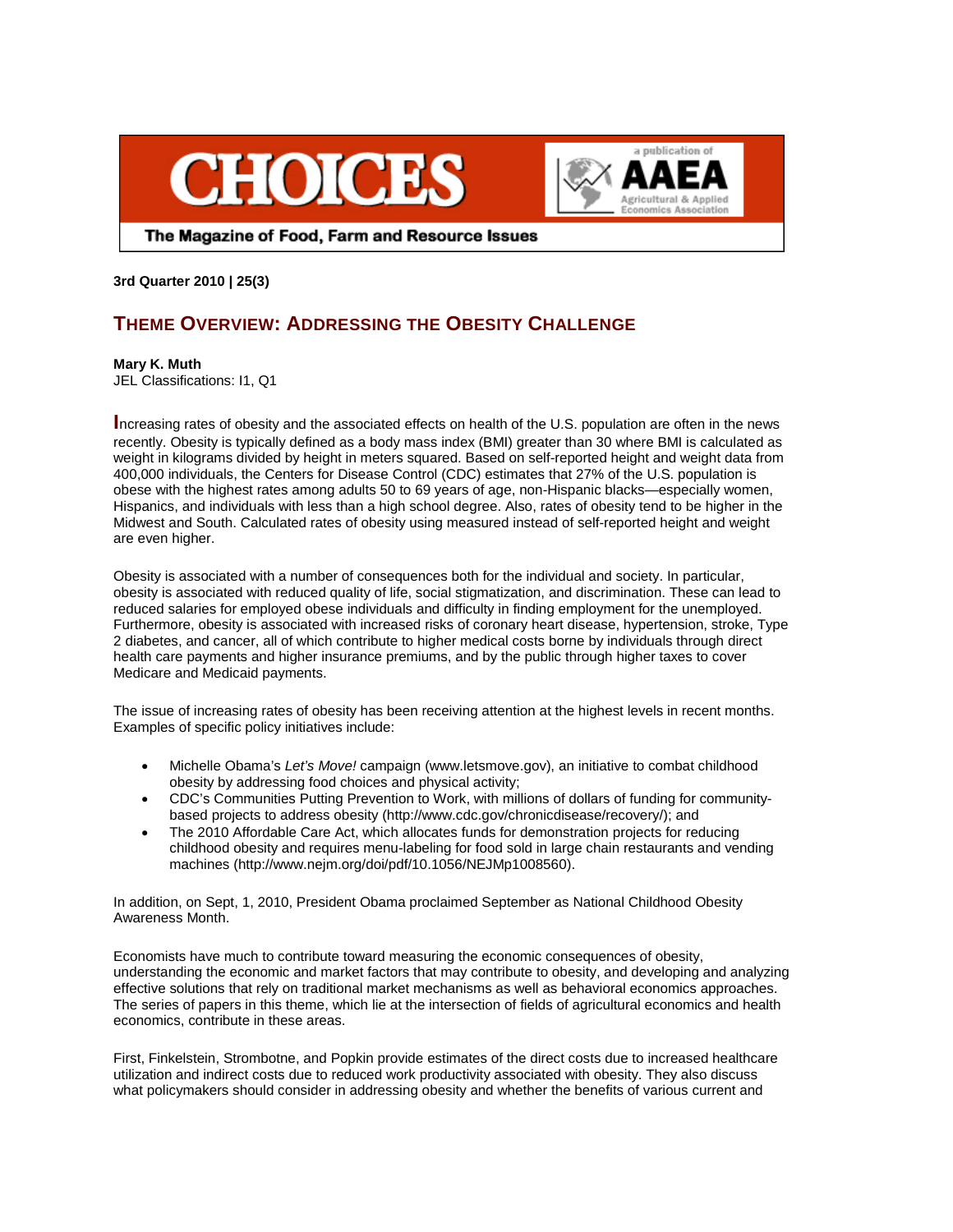



The Magazine of Food, Farm and Resource Issues

**3rd Quarter 2010 | 25(3)** 

## **THEME OVERVIEW: ADDRESSING THE OBESITY CHALLENGE**

## **Mary K. Muth**

JEL Classifications: I1, Q1

**I**ncreasing rates of obesity and the associated effects on health of the U.S. population are often in the news recently. Obesity is typically defined as a body mass index (BMI) greater than 30 where BMI is calculated as weight in kilograms divided by height in meters squared. Based on self-reported height and weight data from 400,000 individuals, the Centers for Disease Control (CDC) estimates that 27% of the U.S. population is obese with the highest rates among adults 50 to 69 years of age, non-Hispanic blacks—especially women, Hispanics, and individuals with less than a high school degree. Also, rates of obesity tend to be higher in the Midwest and South. Calculated rates of obesity using measured instead of self-reported height and weight are even higher.

Obesity is associated with a number of consequences both for the individual and society. In particular, obesity is associated with reduced quality of life, social stigmatization, and discrimination. These can lead to reduced salaries for employed obese individuals and difficulty in finding employment for the unemployed. Furthermore, obesity is associated with increased risks of coronary heart disease, hypertension, stroke, Type 2 diabetes, and cancer, all of which contribute to higher medical costs borne by individuals through direct health care payments and higher insurance premiums, and by the public through higher taxes to cover Medicare and Medicaid payments.

The issue of increasing rates of obesity has been receiving attention at the highest levels in recent months. Examples of specific policy initiatives include:

- Michelle Obama's *Let's Move!* campaign (www.letsmove.gov), an initiative to combat childhood obesity by addressing food choices and physical activity;
- CDC's Communities Putting Prevention to Work, with millions of dollars of funding for communitybased projects to address obesity (http://www.cdc.gov/chronicdisease/recovery/); and
- The 2010 Affordable Care Act, which allocates funds for demonstration projects for reducing childhood obesity and requires menu-labeling for food sold in large chain restaurants and vending machines (http://www.nejm.org/doi/pdf/10.1056/NEJMp1008560).

In addition, on Sept, 1, 2010, President Obama proclaimed September as National Childhood Obesity Awareness Month.

Economists have much to contribute toward measuring the economic consequences of obesity, understanding the economic and market factors that may contribute to obesity, and developing and analyzing effective solutions that rely on traditional market mechanisms as well as behavioral economics approaches. The series of papers in this theme, which lie at the intersection of fields of agricultural economics and health economics, contribute in these areas.

First, Finkelstein, Strombotne, and Popkin provide estimates of the direct costs due to increased healthcare utilization and indirect costs due to reduced work productivity associated with obesity. They also discuss what policymakers should consider in addressing obesity and whether the benefits of various current and